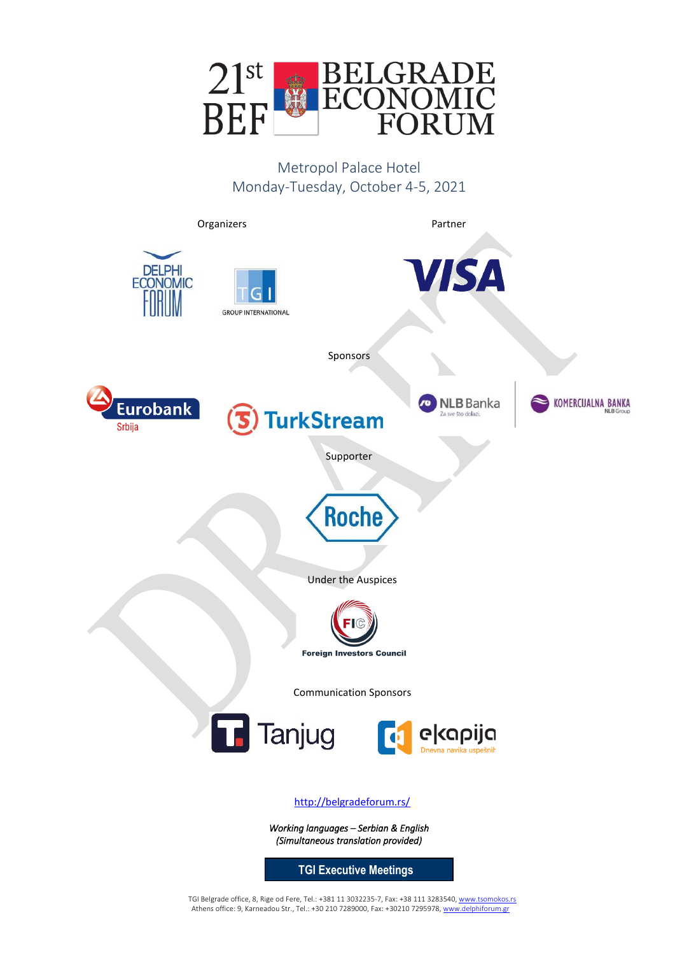

Metropol Palace Hotel Monday-Tuesday, October 4-5, 2021



TGI Belgrade office, 8, Rige od Fere, Tel.: +381 11 3032235-7, Fax: +38 111 3283540[, www.tsomokos.rs](http://www.tsomokos.rs/) 

Athens office: 9, Karneadou Str., Tel.: +30 210 7289000, Fax: +30210 7295978[, www.delphiforum.gr](http://www.delphiforum.gr/)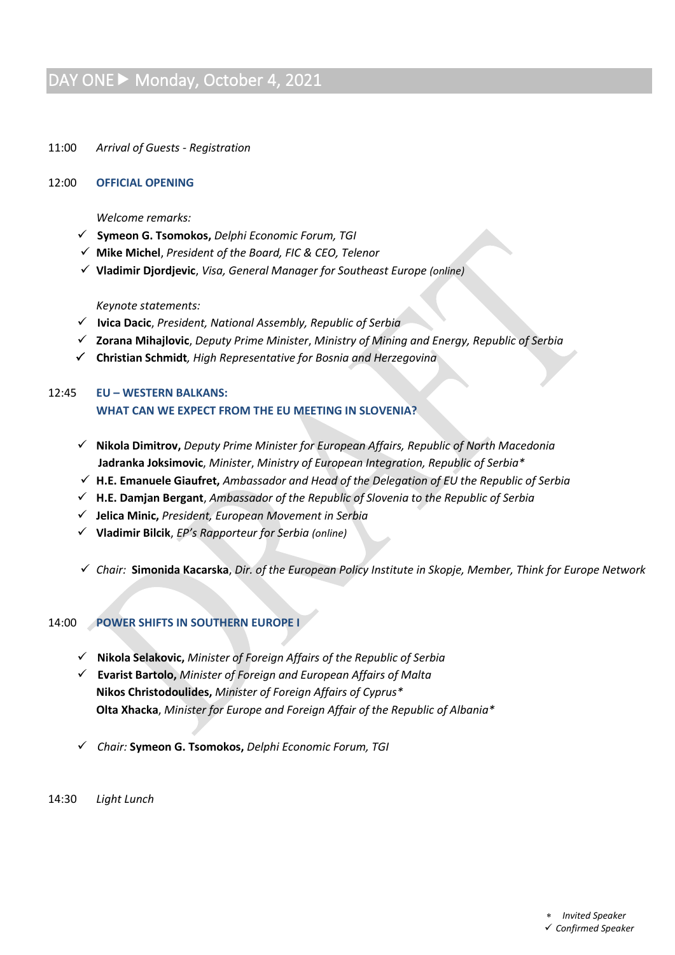# DAY ONE Monday, October 4, 2021

11:00 *Arrival of Guests - Registration*

#### 12:00 **OFFICIAL OPENING**

*Welcome remarks:* 

- ✓ **Symeon G. Tsomokos,** *Delphi Economic Forum, TGI*
- ✓ **Mike Michel**, *President of the Board, FIC & CEO, Telenor*
- ✓ **Vladimir Djordjevic**, *Visa, General Manager for Southeast Europe (online)*

*Keynote statements:*

- ✓ **Ivica Dacic**, *President, National Assembly, Republic of Serbia*
- ✓ **Zorana Mihajlovic**, *Deputy Prime Minister*, *Ministry of Mining and Energy, Republic of Serbia*
- **Christian Schmidt***, High Representative for Bosnia and Herzegovina*

# 12:45 **EU – WESTERN BALKANS: WHAT CAN WE EXPECT FROM THE EU MEETING IN SLOVENIA?**

- ✓ **Nikola Dimitrov,** *Deputy Prime Minister for European Affairs, Republic of North Macedonia*  **Jadranka Joksimovic**, *Minister*, *Ministry of European Integration, Republic of Serbia\**
- ✓ **H.E. Emanuele Giaufret,** *Ambassador and Head of the Delegation of EU the Republic of Serbia*
- ✓ **H.E. Damjan Bergant**, *Ambassador of the Republic of Slovenia to the Republic of Serbia*
- ✓ **Jelica Minic,** *President, European Movement in Serbia*
- ✓ **Vladimir Bilcik**, *EP's Rapporteur for Serbia (online)*
- ✓ *Chair:* **Simonida Kacarska**, *Dir. of the European Policy Institute in Skopje, Member, Think for Europe Network*

# 14:00 **POWER SHIFTS IN SOUTHERN EUROPE I**

- ✓ **Nikola Selakovic,** *Minister of Foreign Affairs of the Republic of Serbia*
- ✓ **Evarist Bartolo,** *Minister of Foreign and European Affairs of Malta* **Nikos Christodoulides,** *Minister of Foreign Affairs of Cyprus\** **Olta Xhacka**, *Minister for Europe and Foreign Affair of the Republic of Albania\**
- ✓ *Chair:* **Symeon G. Tsomokos,** *Delphi Economic Forum, TGI*
- 14:30 *Light Lunch*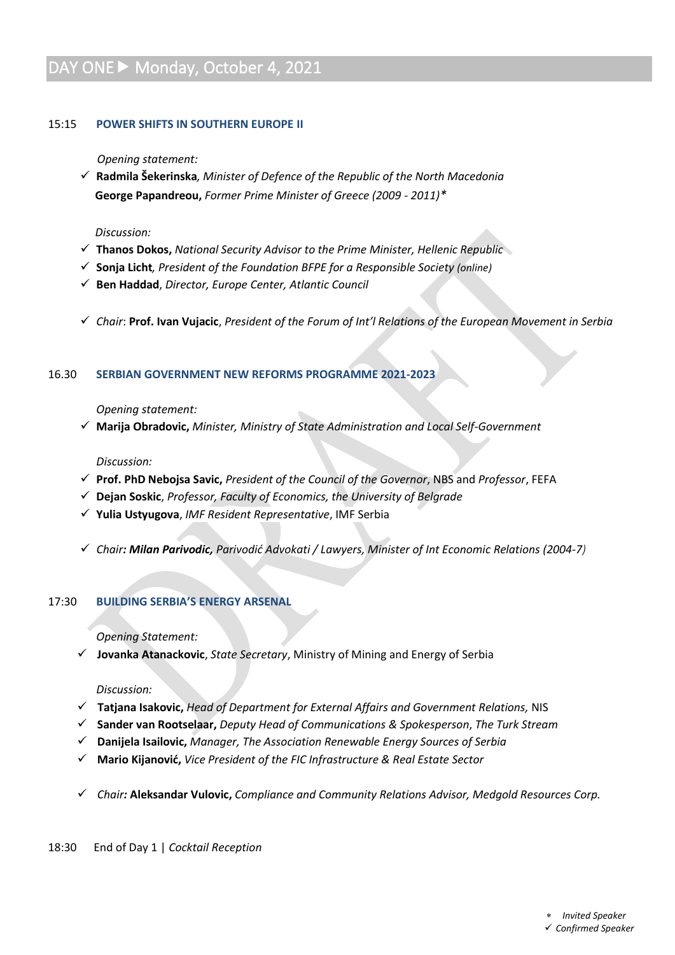# DAY ONE > Monday, October 4, 2021

# 15:15 **POWER SHIFTS IN SOUTHERN EUROPE II**

### *Opening statement:*

✓ **Radmila Šekerinska***, Minister of Defence of the Republic of the North Macedonia*  **George Papandreou,** *Former Prime Minister of Greece (2009 - 2011)\**

#### *Discussion:*

- ✓ **Thanos Dokos,** *National Security Advisor to the Prime Minister, Hellenic Republic*
- ✓ **Sonja Licht***, President of the Foundation BFPE for a Responsible Society (online)*
- ✓ **Ben Haddad**, *Director, Europe Center, Atlantic Council*
- ✓ *Chair*: **Prof. Ivan Vujacic**, *President of the Forum of Int'l Relations of the European Movement in Serbia*

# 16.30 **SERBIAN GOVERNMENT NEW REFORMS PROGRAMME 2021-2023**

# *Opening statement:*

✓ **Marija Obradovic,** *Minister, Ministry of State Administration and Local Self-Government*

# *Discussion:*

- ✓ **Prof. PhD Nebojsa Savic,** *President of the Council of the Governor*, NBS and *Professor*, FEFA
- ✓ **Dejan Soskic**, *Professor, Faculty of Economics, the University of Belgrade*
- ✓ **Yulia Ustyugova**, *IMF Resident Representative*, IMF Serbia
- ✓ *Chair: Milan Parivodic, Parivodić Advokati / Lawyers, Minister of Int Economic Relations (2004-7)*

# 17:30 **BUILDING SERBIA'S ENERGY ARSENAL**

# *Opening Statement:*

✓ **Jovanka Atanackovic**, *State Secretary*, Ministry of Mining and Energy of Serbia

# *Discussion:*

- ✓ **Tatjana Isakovic,** *Head of Department for External Affairs and Government Relations,* NIS
- ✓ **Sander van Rootselaar,** *Deputy Head of Communications & Spokesperson*, *The Turk Stream*
- ✓ **Danijela Isailovic,** *Manager, The Association Renewable Energy Sources of Serbia*
- ✓ **Mario Kijanović,** *Vice President of the FIC Infrastructure & Real Estate Sector*
- ✓ *Chair:* **Aleksandar Vulovic,** *Compliance and Community Relations Advisor, Medgold Resources Corp.*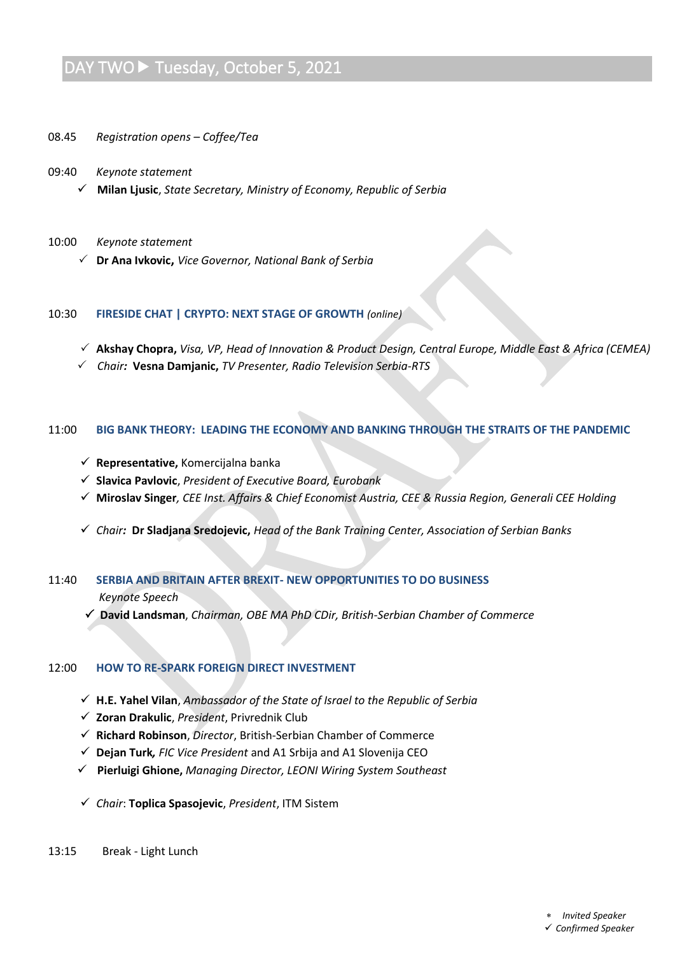# DAY TWO ► Tuesday, October 5, 2021

- 08.45 *Registration opens – Coffee/Tea*
- 09:40 *Keynote statement*
	- ✓ **Milan Ljusic**, *State Secretary, Ministry of Economy, Republic of Serbia*

#### 10:00 *Keynote statement*

 **Dr Ana Ivkovic,** *Vice Governor, National Bank of Serbia*

#### 10:30 **FIRESIDE CHAT | CRYPTO: NEXT STAGE OF GROWTH** *(online)*

- **Akshay Chopra,** *Visa, VP, Head of Innovation & Product Design, Central Europe, Middle East & Africa (CEMEA)*
- *Chair:* **Vesna Damjanic,** *TV Presenter, Radio Television Serbia-RTS*

#### 11:00 **BIG BANK THEORY: LEADING THE ECONOMY AND BANKING THROUGH THE STRAITS OF THE PANDEMIC**

- ✓ **Representative,** Komercijalna banka
- ✓ **Slavica Pavlovic**, *President of Executive Board, Eurobank*
- ✓ **Miroslav Singer***, CEE Inst. Affairs & Chief Economist Austria, CEE & Russia Region, Generali CEE Holding*
- ✓ *Chair:* **Dr Sladjana Sredojevic,** *Head of the Bank Training Center, Association of Serbian Banks*

# 11:40 **SERBIA AND BRITAIN AFTER BREXIT- NEW OPPORTUNITIES TO DO BUSINESS** *Keynote Speech*

 **David Landsman**, *Chairman, OBE MA PhD CDir, British-Serbian Chamber of Commerce*

# 12:00 **HOW TO RE-SPARK FOREIGN DIRECT INVESTMENT**

- ✓ **H.E. Yahel Vilan**, *Ambassador of the State of Israel to the Republic of Serbia*
- ✓ **Zoran Drakulic**, *President*, Privrednik Club
- ✓ **Richard Robinson**, *Director*, British-Serbian Chamber of Commerce
- ✓ **Dejan Turk***, FIC Vice President* and A1 Srbija and A1 Slovenija CEO
- ✓ **Pierluigi Ghione,** *Managing Director, LEONI Wiring System Southeast*
- ✓ *Chair*: **Toplica Spasojevic**, *President*, ITM Sistem

#### 13:15 Break - Light Lunch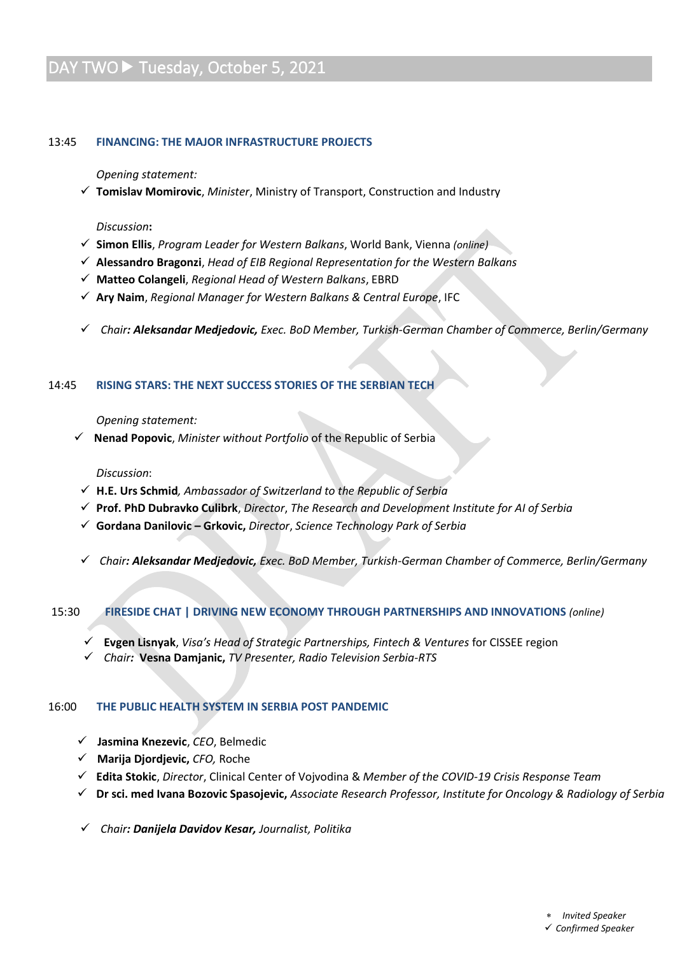# DAY TWO ► Tuesday, October 5, 2021

#### 13:45 **FINANCING: THE MAJOR INFRASTRUCTURE PROJECTS**

*Opening statement:*

✓ **Tomislav Momirovic**, *Minister*, Ministry of Transport, Construction and Industry

#### *Discussion***:**

- ✓ **Simon Ellis**, *Program Leader for Western Balkans*, World Bank, Vienna *(online)*
- ✓ **Alessandro Bragonzi**, *Head of EIB Regional Representation for the Western Balkans*
- ✓ **Matteo Colangeli**, *Regional Head of Western Balkans*, EBRD
- ✓ **Ary Naim**, *Regional Manager for Western Balkans & Central Europe*, IFC
- ✓ *Chair: Aleksandar Medjedovic, Exec. BoD Member, Turkish-German Chamber of Commerce, Berlin/Germany*

#### 14:45 **RISING STARS: THE NEXT SUCCESS STORIES OF THE SERBIAN TECH**

#### *Opening statement:*

✓ **Nenad Popovic**, *Minister without Portfolio* of the Republic of Serbia

#### *Discussion*:

- ✓ **H.E. Urs Schmid***, Ambassador of Switzerland to the Republic of Serbia*
- ✓ **Prof. PhD Dubravko Culibrk**, *Director*, *The Research and Development Institute for AI of Serbia*
- ✓ **Gordana Danilovic – Grkovic,** *Director*, *Science Technology Park of Serbia*
- ✓ *Chair: Aleksandar Medjedovic, Exec. BoD Member, Turkish-German Chamber of Commerce, Berlin/Germany*

#### 15:30 **FIRESIDE CHAT | DRIVING NEW ECONOMY THROUGH PARTNERSHIPS AND INNOVATIONS** *(online)*

- ✓ **Evgen Lisnyak**, *Visa's Head of Strategic Partnerships, Fintech & Ventures* for CISSEE region
- ✓ *Chair:* **Vesna Damjanic,** *TV Presenter, Radio Television Serbia-RTS*

# 16:00 **THE PUBLIC HEALTH SYSTEM IN SERBIA POST PANDEMIC**

- ✓ **Jasmina Knezevic**, *CEO*, Belmedic
- ✓ **Marija Djordjevic,** *CFO,* Roche
- ✓ **Edita Stokic**, *Director*, Clinical Center of Vojvodina & *Member of the COVID-19 Crisis Response Team*
- ✓ **Dr sci. med Ivana Bozovic Spasojevic,** *Associate Research Professor, Institute for Oncology & Radiology of Serbia*
- ✓ *Chair: Danijela Davidov Kesar, Journalist, Politika*